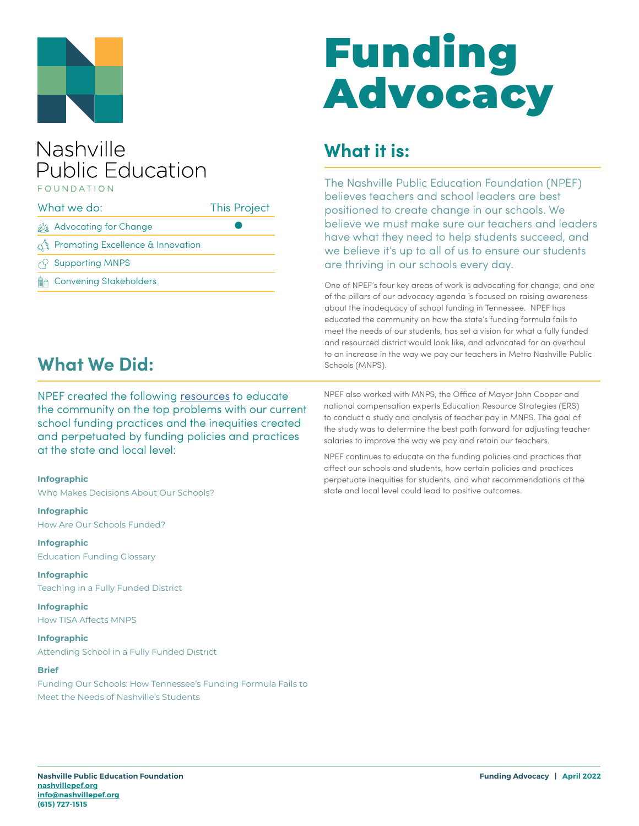

### Nashville **Public Education** FOUNDATION

| What we do: |                                    | <b>This Project</b> |
|-------------|------------------------------------|---------------------|
|             | ous Advocating for Change          |                     |
|             | Promoting Excellence & Innovation  |                     |
|             | $\curvearrowright$ Supporting MNPS |                     |
| Ma          | <b>Convening Stakeholders</b>      |                     |

## **What We Did:**

NPEF created the following [resources](https://nashvillepef.org/resources-school-funding/) to educate the community on the top problems with our current school funding practices and the inequities created and perpetuated by funding policies and practices at the state and local level:

#### **Infographic**

Who Makes Decisions About Our Schools?

**Infographic** How Are Our Schools Funded?

**Infographic** Education Funding Glossary

**Infographic**  Teaching in a Fully Funded District

**Infographic** How TISA Affects MNPS

**Infographic** Attending School in a Fully Funded District

#### **Brief**

Funding Our Schools: How Tennessee's Funding Formula Fails to Meet the Needs of Nashville's Students

# Funding Advocacy

## **What it is:**

The Nashville Public Education Foundation (NPEF) believes teachers and school leaders are best positioned to create change in our schools. We believe we must make sure our teachers and leaders have what they need to help students succeed, and we believe it's up to all of us to ensure our students are thriving in our schools every day.

One of NPEF's four key areas of work is advocating for change, and one of the pillars of our advocacy agenda is focused on raising awareness about the inadequacy of school funding in Tennessee. NPEF has educated the community on how the state's funding formula fails to meet the needs of our students, has set a vision for what a fully funded and resourced district would look like, and advocated for an overhaul to an increase in the way we pay our teachers in Metro Nashville Public Schools (MNPS).

NPEF also worked with MNPS, the Office of Mayor John Cooper and national compensation experts Education Resource Strategies (ERS) to conduct a study and analysis of teacher pay in MNPS. The goal of the study was to determine the best path forward for adjusting teacher salaries to improve the way we pay and retain our teachers.

NPEF continues to educate on the funding policies and practices that affect our schools and students, how certain policies and practices perpetuate inequities for students, and what recommendations at the state and local level could lead to positive outcomes.